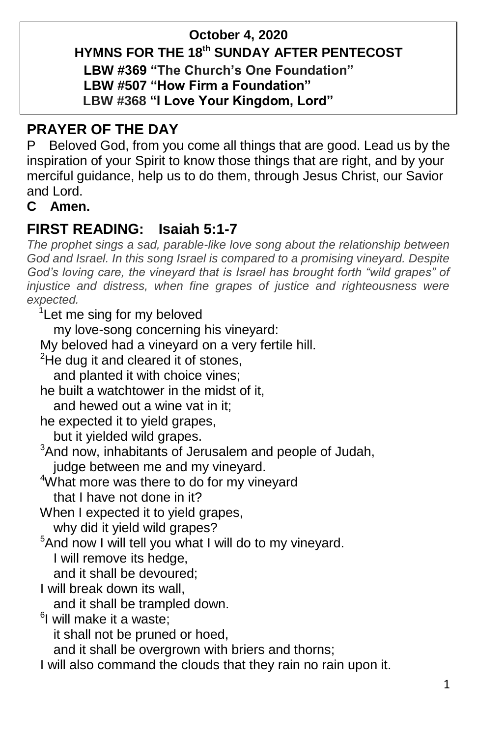# **October 4, 2020 HYMNS FOR THE 18 th SUNDAY AFTER PENTECOST LBW #369 "The Church's One Foundation"**

 **LBW #507 "How Firm a Foundation"**

## **LBW #368 "I Love Your Kingdom, Lord"**

# **PRAYER OF THE DAY**

P Beloved God, from you come all things that are good. Lead us by the inspiration of your Spirit to know those things that are right, and by your merciful guidance, help us to do them, through Jesus Christ, our Savior and Lord.

### **C Amen.**

# **FIRST READING: Isaiah 5:1-7**

*The prophet sings a sad, parable-like love song about the relationship between*  God and Israel. In this song Israel is compared to a promising vineyard. Despite *God's loving care, the vineyard that is Israel has brought forth "wild grapes" of injustice and distress, when fine grapes of justice and righteousness were expected.*

<sup>1</sup>Let me sing for my beloved

my love-song concerning his vineyard:

My beloved had a vineyard on a very fertile hill.

 $2$ He dug it and cleared it of stones,

and planted it with choice vines;

he built a watchtower in the midst of it,

and hewed out a wine vat in it;

he expected it to yield grapes,

but it yielded wild grapes.

<sup>3</sup>And now, inhabitants of Jerusalem and people of Judah,

judge between me and my vineyard.

- <sup>4</sup>What more was there to do for my vineyard that I have not done in it?
- When I expected it to yield grapes, why did it yield wild grapes?

 $5$ And now I will tell you what I will do to my vineyard. I will remove its hedge,

and it shall be devoured;

I will break down its wall,

and it shall be trampled down.

<sup>6</sup>l will make it a waste;

it shall not be pruned or hoed,

and it shall be overgrown with briers and thorns;

I will also command the clouds that they rain no rain upon it.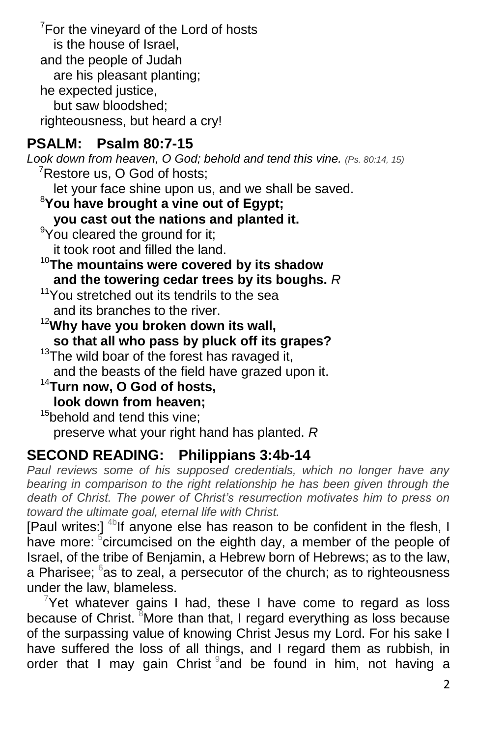$7$ For the vineyard of the Lord of hosts is the house of Israel, and the people of Judah are his pleasant planting; he expected justice, but saw bloodshed; righteousness, but heard a cry!

## **PSALM: Psalm 80:7-15**

*Look down from heaven, O God; behold and tend this vine. (Ps. 80:14, 15)*  $7$ Restore us, O God of hosts:

let your face shine upon us, and we shall be saved.

<sup>8</sup>**You have brought a vine out of Egypt;**

**you cast out the nations and planted it.**

<sup>9</sup>You cleared the ground for it; it took root and filled the land.

<sup>10</sup>**The mountains were covered by its shadow**

**and the towering cedar trees by its boughs.** *R*

<sup>11</sup>You stretched out its tendrils to the sea and its branches to the river.

<sup>12</sup>**Why have you broken down its wall, so that all who pass by pluck off its grapes?**

 $13$ The wild boar of the forest has ravaged it, and the beasts of the field have grazed upon it.

<sup>14</sup>**Turn now, O God of hosts,**

**look down from heaven;**

<sup>15</sup>behold and tend this vine:

preserve what your right hand has planted. *R*

## **SECOND READING: Philippians 3:4b-14**

*Paul reviews some of his supposed credentials, which no longer have any*  bearing in comparison to the right relationship he has been given through the *death of Christ. The power of Christ's resurrection motivates him to press on toward the ultimate goal, eternal life with Christ.*

[Paul writes:]  $4\text{b}$ If anyone else has reason to be confident in the flesh, I have more: <sup>5</sup>circumcised on the eighth day, a member of the people of Israel, of the tribe of Benjamin, a Hebrew born of Hebrews; as to the law, a Pharisee;  $6$ as to zeal, a persecutor of the church; as to righteousness under the law, blameless.

 $7$ Yet whatever gains I had, these I have come to regard as loss because of Christ. <sup>8</sup>More than that, I regard everything as loss because of the surpassing value of knowing Christ Jesus my Lord. For his sake I have suffered the loss of all things, and I regard them as rubbish, in order that I may gain Christ and be found in him, not having a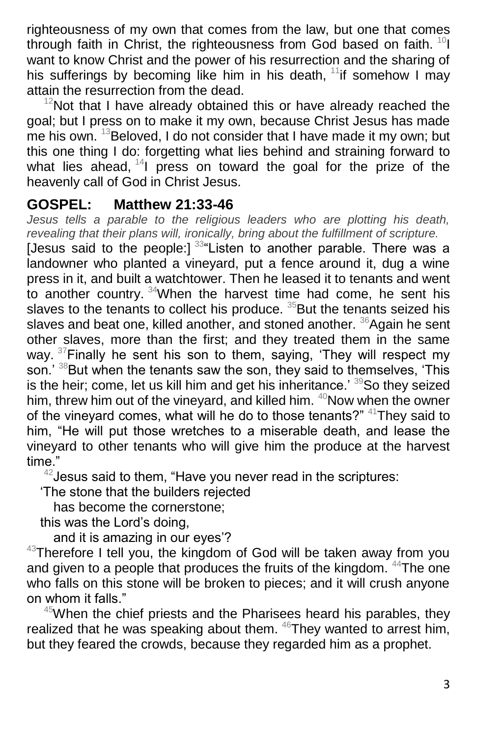righteousness of my own that comes from the law, but one that comes through faith in Christ, the righteousness from God based on faith.  $^{10}$ I want to know Christ and the power of his resurrection and the sharing of his sufferings by becoming like him in his death,  $11$ if somehow I mav attain the resurrection from the dead.

 $12$ Not that I have already obtained this or have already reached the goal; but I press on to make it my own, because Christ Jesus has made me his own.  $13B$  Beloved, I do not consider that I have made it my own; but this one thing I do: forgetting what lies behind and straining forward to what lies ahead,  $14$  press on toward the goal for the prize of the heavenly call of God in Christ Jesus.

#### **GOSPEL: Matthew 21:33-46**

*Jesus tells a parable to the religious leaders who are plotting his death, revealing that their plans will, ironically, bring about the fulfillment of scripture.*

[Jesus said to the people:]  $334$  Listen to another parable. There was a landowner who planted a vineyard, put a fence around it, dug a wine press in it, and built a watchtower. Then he leased it to tenants and went to another country. <sup>34</sup>When the harvest time had come, he sent his slaves to the tenants to collect his produce.  $35$ But the tenants seized his slaves and beat one, killed another, and stoned another. <sup>36</sup>Again he sent other slaves, more than the first; and they treated them in the same way.  $37$  Finally he sent his son to them, saying, 'They will respect my son.' <sup>38</sup>But when the tenants saw the son, they said to themselves, 'This is the heir; come, let us kill him and get his inheritance.' 39So they seized him, threw him out of the vineyard, and killed him. <sup>40</sup>Now when the owner of the vineyard comes, what will he do to those tenants?" <sup>41</sup>They said to him, "He will put those wretches to a miserable death, and lease the vineyard to other tenants who will give him the produce at the harvest time."

 $42$  Jesus said to them, "Have you never read in the scriptures:

'The stone that the builders rejected

has become the cornerstone;

this was the Lord's doing,

and it is amazing in our eyes'?

 $43$ Therefore I tell you, the kingdom of God will be taken away from you and given to a people that produces the fruits of the kingdom. <sup>44</sup>The one who falls on this stone will be broken to pieces; and it will crush anyone on whom it falls."

 $45$ When the chief priests and the Pharisees heard his parables, they realized that he was speaking about them.  $46$ They wanted to arrest him, but they feared the crowds, because they regarded him as a prophet.